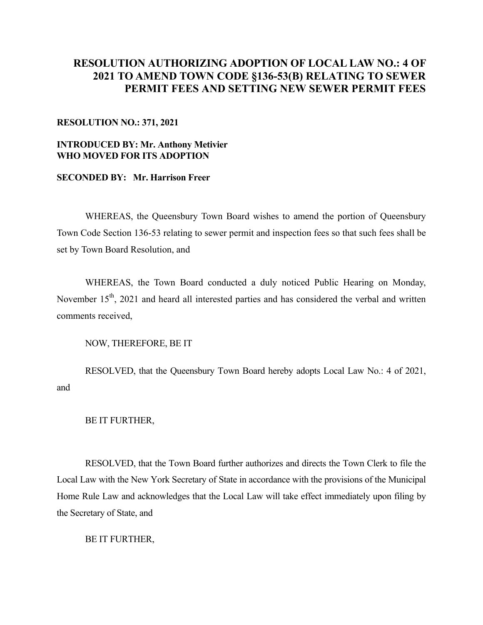## **RESOLUTION AUTHORIZING ADOPTION OF LOCAL LAW NO.: 4 OF 2021 TO AMEND TOWN CODE §136-53(B) RELATING TO SEWER PERMIT FEES AND SETTING NEW SEWER PERMIT FEES**

## **RESOLUTION NO.: 371, 2021**

## **INTRODUCED BY: Mr. Anthony Metivier WHO MOVED FOR ITS ADOPTION**

## **SECONDED BY: Mr. Harrison Freer**

WHEREAS, the Queensbury Town Board wishes to amend the portion of Queensbury Town Code Section 136-53 relating to sewer permit and inspection fees so that such fees shall be set by Town Board Resolution, and

WHEREAS, the Town Board conducted a duly noticed Public Hearing on Monday, November 15<sup>th</sup>, 2021 and heard all interested parties and has considered the verbal and written comments received,

NOW, THEREFORE, BE IT

 RESOLVED, that the Queensbury Town Board hereby adopts Local Law No.: 4 of 2021, and

BE IT FURTHER,

 RESOLVED, that the Town Board further authorizes and directs the Town Clerk to file the Local Law with the New York Secretary of State in accordance with the provisions of the Municipal Home Rule Law and acknowledges that the Local Law will take effect immediately upon filing by the Secretary of State, and

BE IT FURTHER,